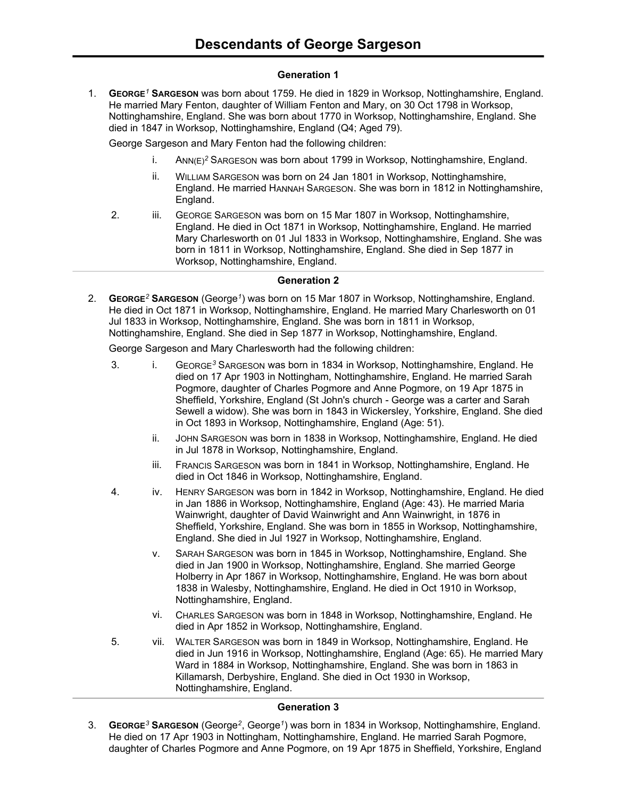# **Generation 1**

1. **GEORGE***<sup>1</sup>* **SARGESON** was born about 1759. He died in 1829 in Worksop, Nottinghamshire, England. He married Mary Fenton, daughter of William Fenton and Mary, on 30 Oct 1798 in Worksop, Nottinghamshire, England. She was born about 1770 in Worksop, Nottinghamshire, England. She died in 1847 in Worksop, Nottinghamshire, England (Q4; Aged 79).

George Sargeson and Mary Fenton had the following children:

- i. ANN(E)*<sup>2</sup>* SARGESON was born about 1799 in Worksop, Nottinghamshire, England.
- ii. WILLIAM SARGESON was born on 24 Jan 1801 in Worksop, Nottinghamshire, England. He married HANNAH SARGESON. She was born in 1812 in Nottinghamshire, England.
- 2. iii. GEORGE SARGESON was born on 15 Mar 1807 in Worksop, Nottinghamshire, England. He died in Oct 1871 in Worksop, Nottinghamshire, England. He married Mary Charlesworth on 01 Jul 1833 in Worksop, Nottinghamshire, England. She was born in 1811 in Worksop, Nottinghamshire, England. She died in Sep 1877 in Worksop, Nottinghamshire, England.

### **Generation 2**

2. **GEORGE***<sup>2</sup>* **SARGESON** (George*<sup>1</sup>* ) was born on 15 Mar 1807 in Worksop, Nottinghamshire, England. He died in Oct 1871 in Worksop, Nottinghamshire, England. He married Mary Charlesworth on 01 Jul 1833 in Worksop, Nottinghamshire, England. She was born in 1811 in Worksop, Nottinghamshire, England. She died in Sep 1877 in Worksop, Nottinghamshire, England.

George Sargeson and Mary Charlesworth had the following children:

- 3. i. GEORGE*<sup>3</sup>* SARGESON was born in 1834 in Worksop, Nottinghamshire, England. He died on 17 Apr 1903 in Nottingham, Nottinghamshire, England. He married Sarah Pogmore, daughter of Charles Pogmore and Anne Pogmore, on 19 Apr 1875 in Sheffield, Yorkshire, England (St John's church - George was a carter and Sarah Sewell a widow). She was born in 1843 in Wickersley, Yorkshire, England. She died in Oct 1893 in Worksop, Nottinghamshire, England (Age: 51).
	- ii. JOHN SARGESON was born in 1838 in Worksop, Nottinghamshire, England. He died in Jul 1878 in Worksop, Nottinghamshire, England.
	- iii. FRANCIS SARGESON was born in 1841 in Worksop, Nottinghamshire, England. He died in Oct 1846 in Worksop, Nottinghamshire, England.
- 4. iv. HENRY SARGESON was born in 1842 in Worksop, Nottinghamshire, England. He died in Jan 1886 in Worksop, Nottinghamshire, England (Age: 43). He married Maria Wainwright, daughter of David Wainwright and Ann Wainwright, in 1876 in Sheffield, Yorkshire, England. She was born in 1855 in Worksop, Nottinghamshire, England. She died in Jul 1927 in Worksop, Nottinghamshire, England.
	- v. SARAH SARGESON was born in 1845 in Worksop, Nottinghamshire, England. She died in Jan 1900 in Worksop, Nottinghamshire, England. She married George Holberry in Apr 1867 in Worksop, Nottinghamshire, England. He was born about 1838 in Walesby, Nottinghamshire, England. He died in Oct 1910 in Worksop, Nottinghamshire, England.
	- vi. CHARLES SARGESON was born in 1848 in Worksop, Nottinghamshire, England. He died in Apr 1852 in Worksop, Nottinghamshire, England.
- 5. vii. WALTER SARGESON was born in 1849 in Worksop, Nottinghamshire, England. He died in Jun 1916 in Worksop, Nottinghamshire, England (Age: 65). He married Mary Ward in 1884 in Worksop, Nottinghamshire, England. She was born in 1863 in Killamarsh, Derbyshire, England. She died in Oct 1930 in Worksop, Nottinghamshire, England.

#### **Generation 3**

3. **GEORGE***<sup>3</sup>* **SARGESON** (George*<sup>2</sup>* , George*<sup>1</sup>* ) was born in 1834 in Worksop, Nottinghamshire, England. He died on 17 Apr 1903 in Nottingham, Nottinghamshire, England. He married Sarah Pogmore, daughter of Charles Pogmore and Anne Pogmore, on 19 Apr 1875 in Sheffield, Yorkshire, England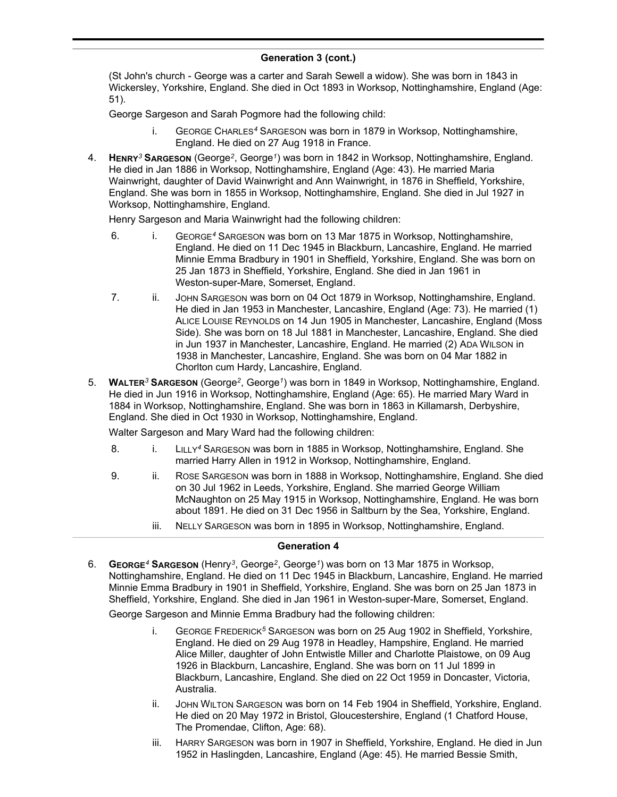# **Generation 3 (cont.)**

(St John's church - George was a carter and Sarah Sewell a widow). She was born in 1843 in Wickersley, Yorkshire, England. She died in Oct 1893 in Worksop, Nottinghamshire, England (Age: 51).

George Sargeson and Sarah Pogmore had the following child:

- i. GEORGE CHARLES*<sup>4</sup>* SARGESON was born in 1879 in Worksop, Nottinghamshire, England. He died on 27 Aug 1918 in France.
- 4. **HENRY***<sup>3</sup>* **SARGESON** (George*<sup>2</sup>* , George*<sup>1</sup>* ) was born in 1842 in Worksop, Nottinghamshire, England. He died in Jan 1886 in Worksop, Nottinghamshire, England (Age: 43). He married Maria Wainwright, daughter of David Wainwright and Ann Wainwright, in 1876 in Sheffield, Yorkshire, England. She was born in 1855 in Worksop, Nottinghamshire, England. She died in Jul 1927 in Worksop, Nottinghamshire, England.

Henry Sargeson and Maria Wainwright had the following children:

- 6. i. GEORGE*<sup>4</sup>* SARGESON was born on 13 Mar 1875 in Worksop, Nottinghamshire, England. He died on 11 Dec 1945 in Blackburn, Lancashire, England. He married Minnie Emma Bradbury in 1901 in Sheffield, Yorkshire, England. She was born on 25 Jan 1873 in Sheffield, Yorkshire, England. She died in Jan 1961 in Weston-super-Mare, Somerset, England.
- 7. ii. JOHN SARGESON was born on 04 Oct 1879 in Worksop, Nottinghamshire, England. He died in Jan 1953 in Manchester, Lancashire, England (Age: 73). He married (1) ALICE LOUISE REYNOLDS on 14 Jun 1905 in Manchester, Lancashire, England (Moss Side). She was born on 18 Jul 1881 in Manchester, Lancashire, England. She died in Jun 1937 in Manchester, Lancashire, England. He married (2) ADA WILSON in 1938 in Manchester, Lancashire, England. She was born on 04 Mar 1882 in Chorlton cum Hardy, Lancashire, England.
- 5. **WALTER***<sup>3</sup>* **SARGESON** (George*<sup>2</sup>* , George*<sup>1</sup>* ) was born in 1849 in Worksop, Nottinghamshire, England. He died in Jun 1916 in Worksop, Nottinghamshire, England (Age: 65). He married Mary Ward in 1884 in Worksop, Nottinghamshire, England. She was born in 1863 in Killamarsh, Derbyshire, England. She died in Oct 1930 in Worksop, Nottinghamshire, England.

Walter Sargeson and Mary Ward had the following children:

- 8. i. LILLY*<sup>4</sup>* SARGESON was born in 1885 in Worksop, Nottinghamshire, England. She married Harry Allen in 1912 in Worksop, Nottinghamshire, England.
- 9. ii. ROSE SARGESON was born in 1888 in Worksop, Nottinghamshire, England. She died on 30 Jul 1962 in Leeds, Yorkshire, England. She married George William McNaughton on 25 May 1915 in Worksop, Nottinghamshire, England. He was born about 1891. He died on 31 Dec 1956 in Saltburn by the Sea, Yorkshire, England.
	- iii. NELLY SARGESON was born in 1895 in Worksop, Nottinghamshire, England.

# **Generation 4**

6. **GEORGE***<sup>4</sup>* **SARGESON** (Henry*<sup>3</sup>* , George*<sup>2</sup>* , George*<sup>1</sup>* ) was born on 13 Mar 1875 in Worksop, Nottinghamshire, England. He died on 11 Dec 1945 in Blackburn, Lancashire, England. He married Minnie Emma Bradbury in 1901 in Sheffield, Yorkshire, England. She was born on 25 Jan 1873 in Sheffield, Yorkshire, England. She died in Jan 1961 in Weston-super-Mare, Somerset, England.

George Sargeson and Minnie Emma Bradbury had the following children:

- i. GEORGE FREDERICK*<sup>5</sup>* SARGESON was born on 25 Aug 1902 in Sheffield, Yorkshire, England. He died on 29 Aug 1978 in Headley, Hampshire, England. He married Alice Miller, daughter of John Entwistle Miller and Charlotte Plaistowe, on 09 Aug 1926 in Blackburn, Lancashire, England. She was born on 11 Jul 1899 in Blackburn, Lancashire, England. She died on 22 Oct 1959 in Doncaster, Victoria, Australia.
- ii. JOHN WILTON SARGESON was born on 14 Feb 1904 in Sheffield, Yorkshire, England. He died on 20 May 1972 in Bristol, Gloucestershire, England (1 Chatford House, The Promendae, Clifton, Age: 68).
- iii. HARRY SARGESON was born in 1907 in Sheffield, Yorkshire, England. He died in Jun 1952 in Haslingden, Lancashire, England (Age: 45). He married Bessie Smith,